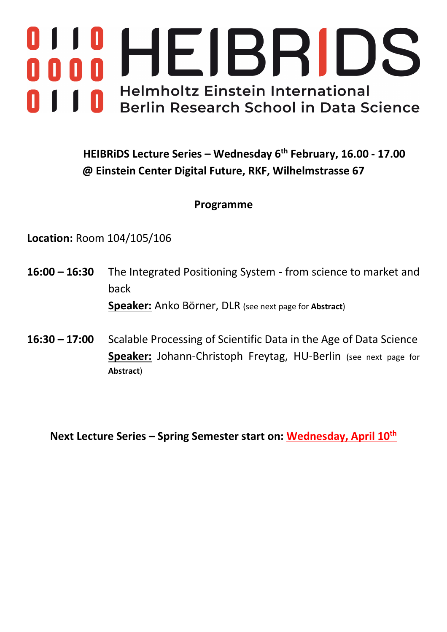

# **HEIBRiDS Lecture Series – Wednesday 6th February, 16.00 - 17.00 @ Einstein Center Digital Future, RKF, Wilhelmstrasse 67**

#### **Programme**

**Location:** Room 104/105/106

- **16:00 – 16:30** The Integrated Positioning System from science to market and back **Speaker:** Anko Börner, DLR (see next page for **Abstract**)
- **16:30 – 17:00** Scalable Processing of Scientific Data in the Age of Data Science **Speaker:** Johann-Christoph Freytag, HU-Berlin (see next page for **Abstract**)

**Next Lecture Series – Spring Semester start on: Wednesday, April 10th**